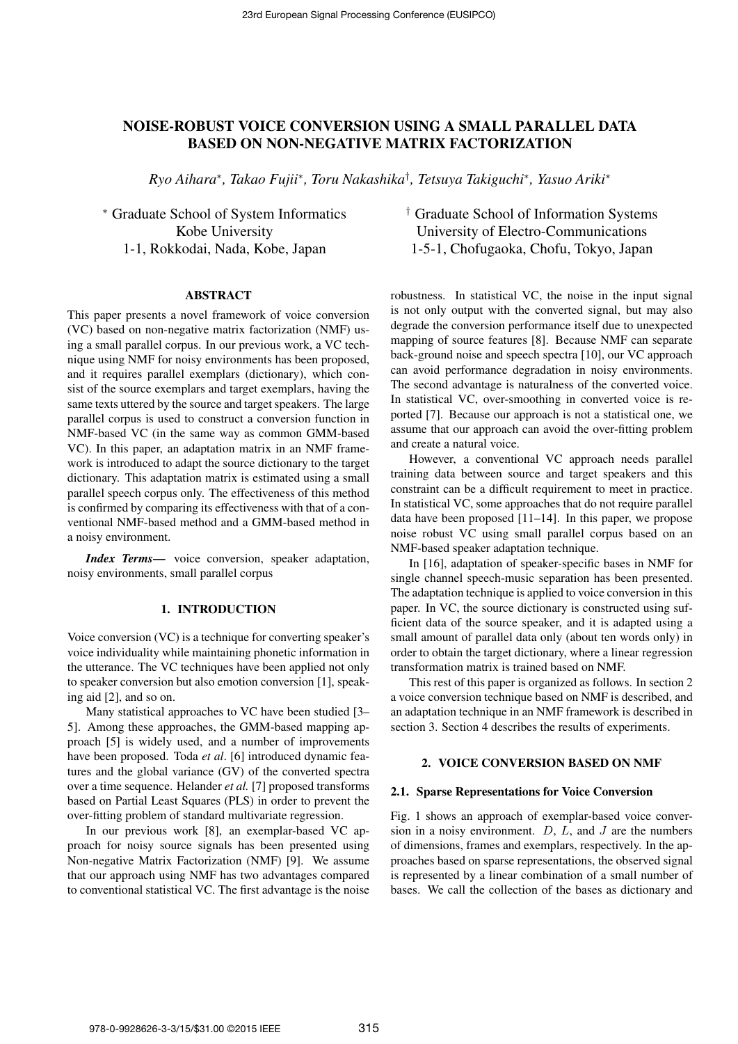# NOISE-ROBUST VOICE CONVERSION USING A SMALL PARALLEL DATA BASED ON NON-NEGATIVE MATRIX FACTORIZATION

*Ryo Aihara<sup>∗</sup> , Takao Fujii<sup>∗</sup> , Toru Nakashika† , Tetsuya Takiguchi<sup>∗</sup> , Yasuo Ariki<sup>∗</sup>*

*<sup>∗</sup>* Graduate School of System Informatics Kobe University 1-1, Rokkodai, Nada, Kobe, Japan

#### ABSTRACT

This paper presents a novel framework of voice conversion (VC) based on non-negative matrix factorization (NMF) using a small parallel corpus. In our previous work, a VC technique using NMF for noisy environments has been proposed, and it requires parallel exemplars (dictionary), which consist of the source exemplars and target exemplars, having the same texts uttered by the source and target speakers. The large parallel corpus is used to construct a conversion function in NMF-based VC (in the same way as common GMM-based VC). In this paper, an adaptation matrix in an NMF framework is introduced to adapt the source dictionary to the target dictionary. This adaptation matrix is estimated using a small parallel speech corpus only. The effectiveness of this method is confirmed by comparing its effectiveness with that of a conventional NMF-based method and a GMM-based method in a noisy environment.

*Index Terms*— voice conversion, speaker adaptation, noisy environments, small parallel corpus

# 1. INTRODUCTION

Voice conversion (VC) is a technique for converting speaker's voice individuality while maintaining phonetic information in the utterance. The VC techniques have been applied not only to speaker conversion but also emotion conversion [1], speaking aid [2], and so on.

Many statistical approaches to VC have been studied [3– 5]. Among these approaches, the GMM-based mapping approach [5] is widely used, and a number of improvements have been proposed. Toda *et al*. [6] introduced dynamic features and the global variance (GV) of the converted spectra over a time sequence. Helander *et al.* [7] proposed transforms based on Partial Least Squares (PLS) in order to prevent the over-fitting problem of standard multivariate regression.

In our previous work [8], an exemplar-based VC approach for noisy source signals has been presented using Non-negative Matrix Factorization (NMF) [9]. We assume that our approach using NMF has two advantages compared to conventional statistical VC. The first advantage is the noise

*†* Graduate School of Information Systems University of Electro-Communications 1-5-1, Chofugaoka, Chofu, Tokyo, Japan

robustness. In statistical VC, the noise in the input signal is not only output with the converted signal, but may also degrade the conversion performance itself due to unexpected mapping of source features [8]. Because NMF can separate back-ground noise and speech spectra [10], our VC approach can avoid performance degradation in noisy environments. The second advantage is naturalness of the converted voice. In statistical VC, over-smoothing in converted voice is reported [7]. Because our approach is not a statistical one, we assume that our approach can avoid the over-fitting problem and create a natural voice.

However, a conventional VC approach needs parallel training data between source and target speakers and this constraint can be a difficult requirement to meet in practice. In statistical VC, some approaches that do not require parallel data have been proposed [11–14]. In this paper, we propose noise robust VC using small parallel corpus based on an NMF-based speaker adaptation technique.

In [16], adaptation of speaker-specific bases in NMF for single channel speech-music separation has been presented. The adaptation technique is applied to voice conversion in this paper. In VC, the source dictionary is constructed using sufficient data of the source speaker, and it is adapted using a small amount of parallel data only (about ten words only) in order to obtain the target dictionary, where a linear regression transformation matrix is trained based on NMF.

This rest of this paper is organized as follows. In section 2 a voice conversion technique based on NMF is described, and an adaptation technique in an NMF framework is described in section 3. Section 4 describes the results of experiments.

# 2. VOICE CONVERSION BASED ON NMF

### 2.1. Sparse Representations for Voice Conversion

Fig. 1 shows an approach of exemplar-based voice conversion in a noisy environment. *D*, *L*, and *J* are the numbers of dimensions, frames and exemplars, respectively. In the approaches based on sparse representations, the observed signal is represented by a linear combination of a small number of bases. We call the collection of the bases as dictionary and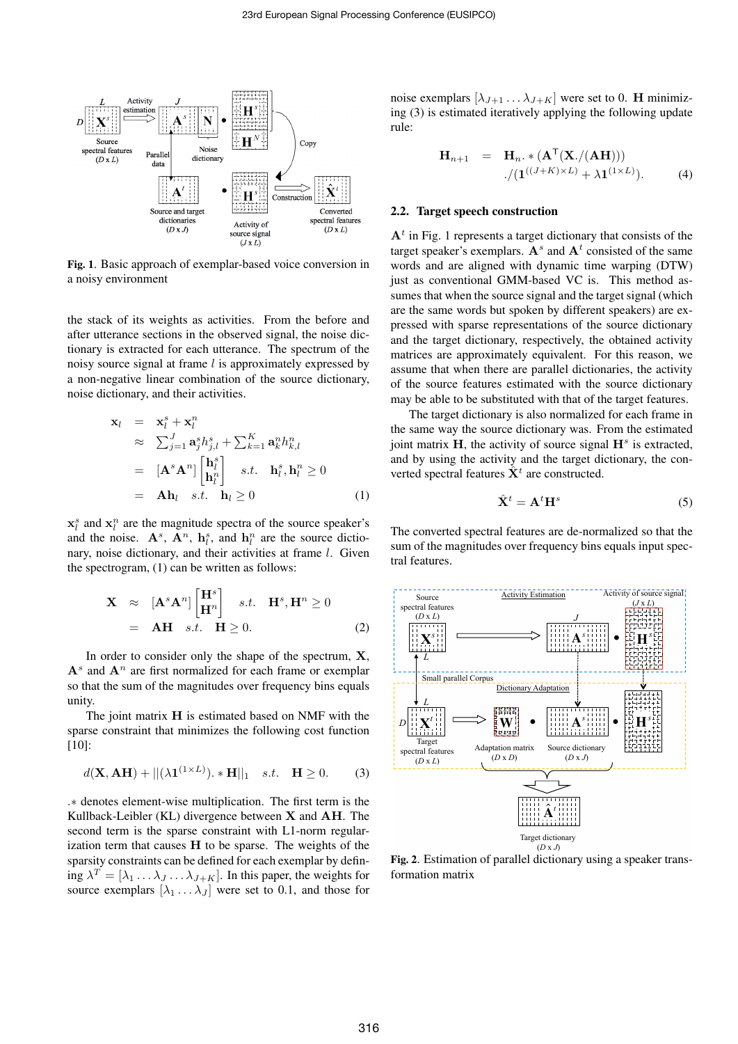

Fig. 1. Basic approach of exemplar-based voice conversion in a noisy environment

the stack of its weights as activities. From the before and after utterance sections in the observed signal, the noise dictionary is extracted for each utterance. The spectrum of the noisy source signal at frame *l* is approximately expressed by a non-negative linear combination of the source dictionary, noise dictionary, and their activities.

$$
\mathbf{x}_{l} = \mathbf{x}_{l}^{s} + \mathbf{x}_{l}^{n}
$$
\n
$$
\approx \sum_{j=1}^{J} \mathbf{a}_{j}^{s} h_{j,l}^{s} + \sum_{k=1}^{K} \mathbf{a}_{k}^{n} h_{k,l}^{n}
$$
\n
$$
= [\mathbf{A}^{s} \mathbf{A}^{n}] \begin{bmatrix} \mathbf{h}_{l}^{s} \\ \mathbf{h}_{l}^{n} \end{bmatrix} \quad s.t. \quad \mathbf{h}_{l}^{s}, \mathbf{h}_{l}^{n} \ge 0
$$
\n
$$
= \mathbf{A} \mathbf{h}_{l} \quad s.t. \quad \mathbf{h}_{l} \ge 0 \tag{1}
$$

 $\mathbf{x}_l^s$  and  $\mathbf{x}_l^n$  are the magnitude spectra of the source speaker's and the noise.  $\mathbf{A}^s$ ,  $\mathbf{A}^n$ ,  $\mathbf{h}_l^s$ , and  $\mathbf{h}_l^n$  are the source dictionary, noise dictionary, and their activities at frame *l*. Given the spectrogram, (1) can be written as follows:

$$
\mathbf{X} \approx [\mathbf{A}^s \mathbf{A}^n] \begin{bmatrix} \mathbf{H}^s \\ \mathbf{H}^n \end{bmatrix} \quad s.t. \quad \mathbf{H}^s, \mathbf{H}^n \ge 0
$$
  
=  $\mathbf{A}\mathbf{H} \quad s.t. \quad \mathbf{H} \ge 0.$  (2)

In order to consider only the shape of the spectrum, **X**,  $A^s$  and  $A^n$  are first normalized for each frame or exemplar so that the sum of the magnitudes over frequency bins equals unity.

The joint matrix **H** is estimated based on NMF with the sparse constraint that minimizes the following cost function [10]:

$$
d(\mathbf{X}, \mathbf{A}\mathbf{H}) + ||(\lambda \mathbf{1}^{(1 \times L)}) \cdot \mathbf{H}||_1 \quad s.t. \quad \mathbf{H} \ge 0. \tag{3}
$$

*.∗* denotes element-wise multiplication. The first term is the Kullback-Leibler (KL) divergence between **X** and **AH**. The second term is the sparse constraint with L1-norm regularization term that causes **H** to be sparse. The weights of the sparsity constraints can be defined for each exemplar by defin- $\hat{\lambda}^T = [\lambda_1 \dots \lambda_J \dots \lambda_{J+K}]$ . In this paper, the weights for source exemplars  $[\lambda_1 \dots \lambda_J]$  were set to 0.1, and those for noise exemplars  $[\lambda_{J+1} \dots \lambda_{J+K}]$  were set to 0. **H** minimizing (3) is estimated iteratively applying the following update rule:

$$
\mathbf{H}_{n+1} = \mathbf{H}_n. * (\mathbf{A}^{\mathsf{T}}(\mathbf{X}./(\mathbf{A}\mathbf{H}))) \n./(\mathbf{1}^{((J+K)\times L)} + \lambda \mathbf{1}^{(1\times L)}).
$$
\n(4)

## 2.2. Target speech construction

 $A<sup>t</sup>$  in Fig. 1 represents a target dictionary that consists of the target speaker's exemplars.  $A^s$  and  $A^t$  consisted of the same words and are aligned with dynamic time warping (DTW) just as conventional GMM-based VC is. This method assumes that when the source signal and the target signal (which are the same words but spoken by different speakers) are expressed with sparse representations of the source dictionary and the target dictionary, respectively, the obtained activity matrices are approximately equivalent. For this reason, we assume that when there are parallel dictionaries, the activity of the source features estimated with the source dictionary may be able to be substituted with that of the target features.

The target dictionary is also normalized for each frame in the same way the source dictionary was. From the estimated joint matrix **H**, the activity of source signal **H***<sup>s</sup>* is extracted, and by using the activity and the target dictionary, the converted spectral features  $\hat{\mathbf{X}}^{t}$  are constructed.

$$
\hat{\mathbf{X}}^t = \mathbf{A}^t \mathbf{H}^s \tag{5}
$$

The converted spectral features are de-normalized so that the sum of the magnitudes over frequency bins equals input spectral features.



Fig. 2. Estimation of parallel dictionary using a speaker transformation matrix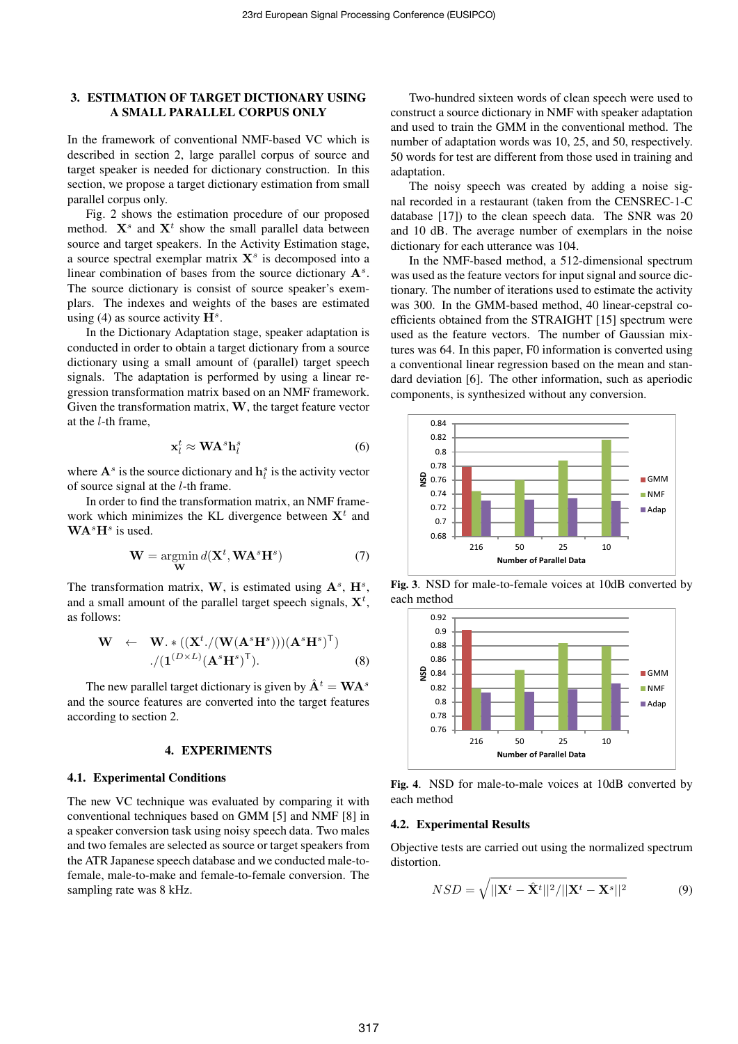# 3. ESTIMATION OF TARGET DICTIONARY USING A SMALL PARALLEL CORPUS ONLY

In the framework of conventional NMF-based VC which is described in section 2, large parallel corpus of source and target speaker is needed for dictionary construction. In this section, we propose a target dictionary estimation from small parallel corpus only.

Fig. 2 shows the estimation procedure of our proposed method.  $X^s$  and  $X^t$  show the small parallel data between source and target speakers. In the Activity Estimation stage, a source spectral exemplar matrix **X***<sup>s</sup>* is decomposed into a linear combination of bases from the source dictionary **A***<sup>s</sup>* . The source dictionary is consist of source speaker's exemplars. The indexes and weights of the bases are estimated using (4) as source activity  $\mathbf{H}^{s}$ .

In the Dictionary Adaptation stage, speaker adaptation is conducted in order to obtain a target dictionary from a source dictionary using a small amount of (parallel) target speech signals. The adaptation is performed by using a linear regression transformation matrix based on an NMF framework. Given the transformation matrix, **W**, the target feature vector at the *l*-th frame,

$$
\mathbf{x}_l^t \approx \mathbf{W} \mathbf{A}^s \mathbf{h}_l^s \tag{6}
$$

where  $\mathbf{A}^s$  is the source dictionary and  $\mathbf{h}_l^s$  is the activity vector of source signal at the *l*-th frame.

In order to find the transformation matrix, an NMF framework which minimizes the KL divergence between **X***<sup>t</sup>* and **WA***<sup>s</sup>***H***<sup>s</sup>* is used.

$$
\mathbf{W} = \underset{\mathbf{W}}{\operatorname{argmin}} d(\mathbf{X}^t, \mathbf{W}\mathbf{A}^s \mathbf{H}^s) \tag{7}
$$

The transformation matrix, W, is estimated using  $A^s$ ,  $H^s$ , and a small amount of the parallel target speech signals, **X***<sup>t</sup>* , as follows:

$$
\mathbf{W} \leftarrow \mathbf{W}.*((\mathbf{X}^{t}./(\mathbf{W}(\mathbf{A}^{s}\mathbf{H}^{s})))(\mathbf{A}^{s}\mathbf{H}^{s})^{\mathsf{T}})\\./(\mathbf{1}^{(D\times L)}(\mathbf{A}^{s}\mathbf{H}^{s})^{\mathsf{T}}).
$$
 (8)

The new parallel target dictionary is given by  $\hat{A}^t = WA^s$ and the source features are converted into the target features according to section 2.

### 4. EXPERIMENTS

### 4.1. Experimental Conditions

The new VC technique was evaluated by comparing it with conventional techniques based on GMM [5] and NMF [8] in a speaker conversion task using noisy speech data. Two males and two females are selected as source or target speakers from the ATR Japanese speech database and we conducted male-tofemale, male-to-make and female-to-female conversion. The sampling rate was 8 kHz.

Two-hundred sixteen words of clean speech were used to construct a source dictionary in NMF with speaker adaptation and used to train the GMM in the conventional method. The number of adaptation words was 10, 25, and 50, respectively. 50 words for test are different from those used in training and adaptation.

The noisy speech was created by adding a noise signal recorded in a restaurant (taken from the CENSREC-1-C database [17]) to the clean speech data. The SNR was 20 and 10 dB. The average number of exemplars in the noise dictionary for each utterance was 104.

In the NMF-based method, a 512-dimensional spectrum was used as the feature vectors for input signal and source dictionary. The number of iterations used to estimate the activity was 300. In the GMM-based method, 40 linear-cepstral coefficients obtained from the STRAIGHT [15] spectrum were used as the feature vectors. The number of Gaussian mixtures was 64. In this paper, F0 information is converted using a conventional linear regression based on the mean and standard deviation [6]. The other information, such as aperiodic components, is synthesized without any conversion.



Fig. 3. NSD for male-to-female voices at 10dB converted by each method



Fig. 4. NSD for male-to-male voices at 10dB converted by each method

### 4.2. Experimental Results

Objective tests are carried out using the normalized spectrum distortion.

$$
NSD = \sqrt{||\mathbf{X}^t - \hat{\mathbf{X}}^t||^2/||\mathbf{X}^t - \mathbf{X}^s||^2}
$$
(9)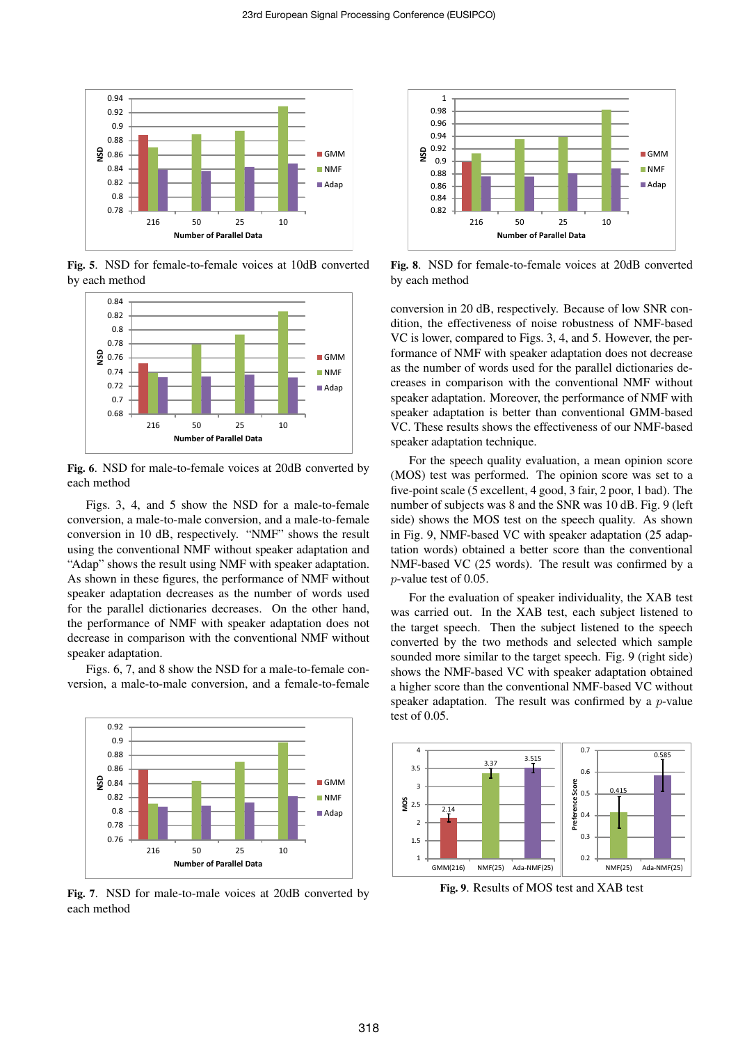

Fig. 5. NSD for female-to-female voices at 10dB converted by each method



Fig. 6. NSD for male-to-female voices at 20dB converted by each method

Figs. 3, 4, and 5 show the NSD for a male-to-female conversion, a male-to-male conversion, and a male-to-female conversion in 10 dB, respectively. "NMF" shows the result using the conventional NMF without speaker adaptation and "Adap" shows the result using NMF with speaker adaptation. As shown in these figures, the performance of NMF without speaker adaptation decreases as the number of words used for the parallel dictionaries decreases. On the other hand, the performance of NMF with speaker adaptation does not decrease in comparison with the conventional NMF without speaker adaptation.

Figs. 6, 7, and 8 show the NSD for a male-to-female conversion, a male-to-male conversion, and a female-to-female



Fig. 7. NSD for male-to-male voices at 20dB converted by each method



Fig. 8. NSD for female-to-female voices at 20dB converted by each method

conversion in 20 dB, respectively. Because of low SNR condition, the effectiveness of noise robustness of NMF-based VC is lower, compared to Figs. 3, 4, and 5. However, the performance of NMF with speaker adaptation does not decrease as the number of words used for the parallel dictionaries decreases in comparison with the conventional NMF without speaker adaptation. Moreover, the performance of NMF with speaker adaptation is better than conventional GMM-based VC. These results shows the effectiveness of our NMF-based speaker adaptation technique.

For the speech quality evaluation, a mean opinion score (MOS) test was performed. The opinion score was set to a five-point scale (5 excellent, 4 good, 3 fair, 2 poor, 1 bad). The number of subjects was 8 and the SNR was 10 dB. Fig. 9 (left side) shows the MOS test on the speech quality. As shown in Fig. 9, NMF-based VC with speaker adaptation (25 adaptation words) obtained a better score than the conventional NMF-based VC (25 words). The result was confirmed by a *p*-value test of 0.05.

For the evaluation of speaker individuality, the XAB test was carried out. In the XAB test, each subject listened to the target speech. Then the subject listened to the speech converted by the two methods and selected which sample sounded more similar to the target speech. Fig. 9 (right side) shows the NMF-based VC with speaker adaptation obtained a higher score than the conventional NMF-based VC without speaker adaptation. The result was confirmed by a *p*-value test of 0.05.



Fig. 9. Results of MOS test and XAB test